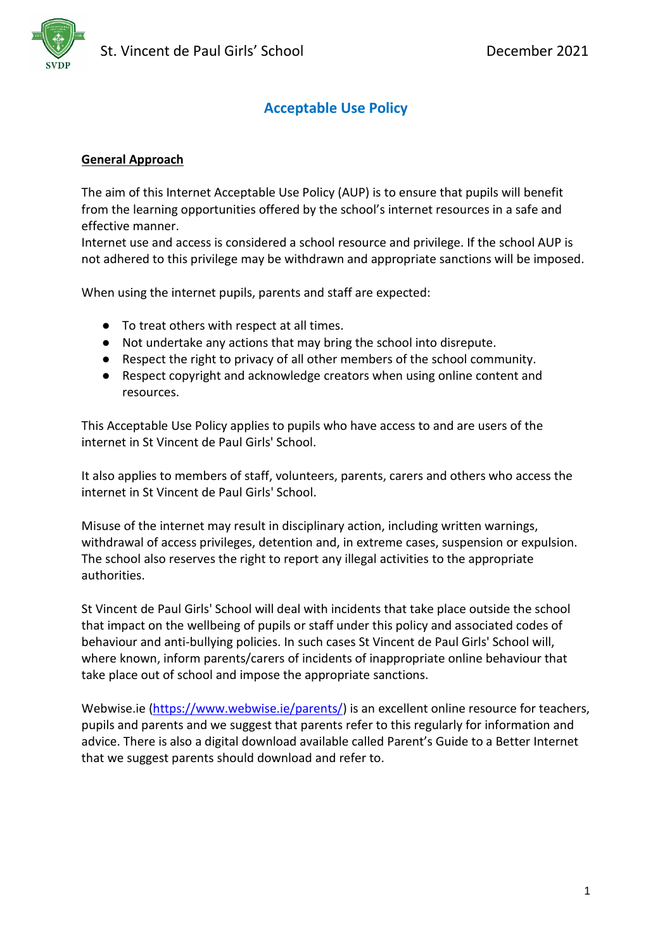

# **Acceptable Use Policy**

#### **General Approach**

The aim of this Internet Acceptable Use Policy (AUP) is to ensure that pupils will benefit from the learning opportunities offered by the school's internet resources in a safe and effective manner.

Internet use and access is considered a school resource and privilege. If the school AUP is not adhered to this privilege may be withdrawn and appropriate sanctions will be imposed.

When using the internet pupils, parents and staff are expected:

- To treat others with respect at all times.
- Not undertake any actions that may bring the school into disrepute.
- Respect the right to privacy of all other members of the school community.
- Respect copyright and acknowledge creators when using online content and resources.

This Acceptable Use Policy applies to pupils who have access to and are users of the internet in St Vincent de Paul Girls' School.

It also applies to members of staff, volunteers, parents, carers and others who access the internet in St Vincent de Paul Girls' School.

Misuse of the internet may result in disciplinary action, including written warnings, withdrawal of access privileges, detention and, in extreme cases, suspension or expulsion. The school also reserves the right to report any illegal activities to the appropriate authorities.

St Vincent de Paul Girls' School will deal with incidents that take place outside the school that impact on the wellbeing of pupils or staff under this policy and associated codes of behaviour and anti-bullying policies. In such cases St Vincent de Paul Girls' School will, where known, inform parents/carers of incidents of inappropriate online behaviour that take place out of school and impose the appropriate sanctions.

Webwise.ie [\(https://www.webwise.ie/parents/\)](https://www.webwise.ie/parents/) is an excellent online resource for teachers, pupils and parents and we suggest that parents refer to this regularly for information and advice. There is also a digital download available called Parent's Guide to a Better Internet that we suggest parents should download and refer to.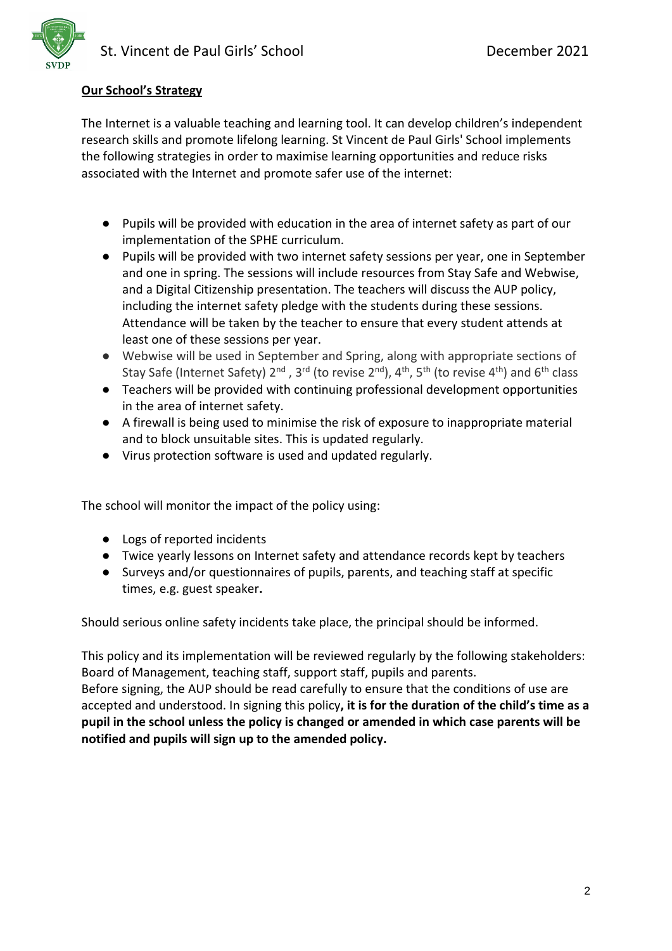

# **Our School's Strategy**

The Internet is a valuable teaching and learning tool. It can develop children's independent research skills and promote lifelong learning. St Vincent de Paul Girls' School implements the following strategies in order to maximise learning opportunities and reduce risks associated with the Internet and promote safer use of the internet:

- Pupils will be provided with education in the area of internet safety as part of our implementation of the SPHE curriculum.
- Pupils will be provided with two internet safety sessions per year, one in September and one in spring. The sessions will include resources from Stay Safe and Webwise, and a Digital Citizenship presentation. The teachers will discuss the AUP policy, including the internet safety pledge with the students during these sessions. Attendance will be taken by the teacher to ensure that every student attends at least one of these sessions per year.
- Webwise will be used in September and Spring, along with appropriate sections of Stay Safe (Internet Safety) 2<sup>nd</sup>, 3<sup>rd</sup> (to revise 2<sup>nd</sup>), 4<sup>th</sup>, 5<sup>th</sup> (to revise 4<sup>th</sup>) and 6<sup>th</sup> class
- Teachers will be provided with continuing professional development opportunities in the area of internet safety.
- A firewall is being used to minimise the risk of exposure to inappropriate material and to block unsuitable sites. This is updated regularly.
- Virus protection software is used and updated regularly.

The school will monitor the impact of the policy using:

- Logs of reported incidents
- Twice yearly lessons on Internet safety and attendance records kept by teachers
- Surveys and/or questionnaires of pupils, parents, and teaching staff at specific times, e.g. guest speaker**.**

Should serious online safety incidents take place, the principal should be informed.

This policy and its implementation will be reviewed regularly by the following stakeholders: Board of Management, teaching staff, support staff, pupils and parents. Before signing, the AUP should be read carefully to ensure that the conditions of use are accepted and understood. In signing this policy**, it is for the duration of the child's time as a pupil in the school unless the policy is changed or amended in which case parents will be notified and pupils will sign up to the amended policy.**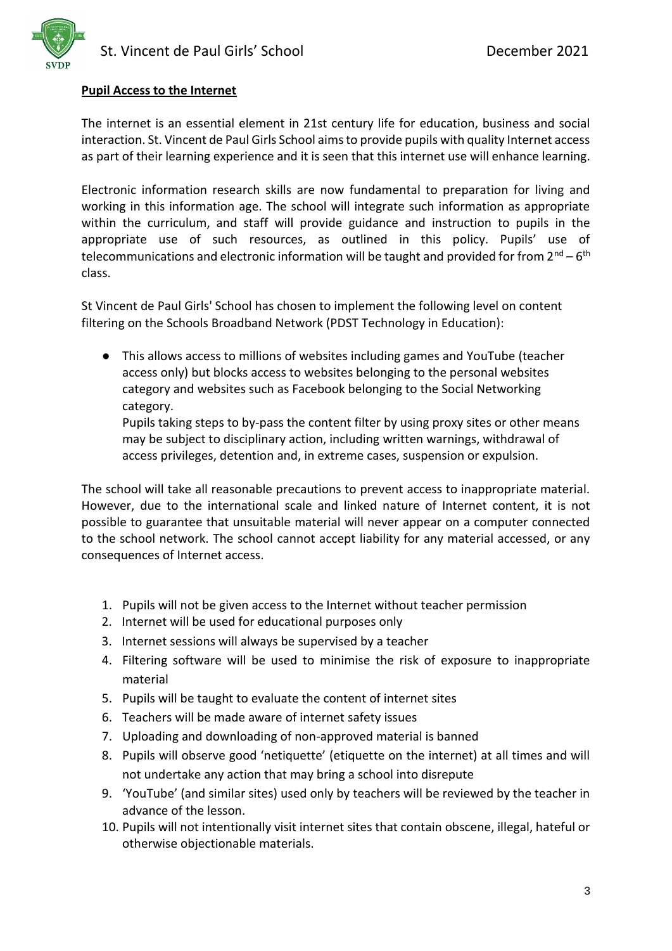

#### **Pupil Access to the Internet**

The internet is an essential element in 21st century life for education, business and social interaction. St. Vincent de Paul Girls School aims to provide pupils with quality Internet access as part of their learning experience and it is seen that this internet use will enhance learning.

Electronic information research skills are now fundamental to preparation for living and working in this information age. The school will integrate such information as appropriate within the curriculum, and staff will provide guidance and instruction to pupils in the appropriate use of such resources, as outlined in this policy. Pupils' use of telecommunications and electronic information will be taught and provided for from 2<sup>nd</sup> – 6<sup>th</sup> class.

St Vincent de Paul Girls' School has chosen to implement the following level on content filtering on the Schools Broadband Network (PDST Technology in Education):

● This allows access to millions of websites including games and YouTube (teacher access only) but blocks access to websites belonging to the personal websites category and websites such as Facebook belonging to the Social Networking category.

Pupils taking steps to by-pass the content filter by using proxy sites or other means may be subject to disciplinary action, including written warnings, withdrawal of access privileges, detention and, in extreme cases, suspension or expulsion.

The school will take all reasonable precautions to prevent access to inappropriate material. However, due to the international scale and linked nature of Internet content, it is not possible to guarantee that unsuitable material will never appear on a computer connected to the school network. The school cannot accept liability for any material accessed, or any consequences of Internet access.

- 1. Pupils will not be given access to the Internet without teacher permission
- 2. Internet will be used for educational purposes only
- 3. Internet sessions will always be supervised by a teacher
- 4. Filtering software will be used to minimise the risk of exposure to inappropriate material
- 5. Pupils will be taught to evaluate the content of internet sites
- 6. Teachers will be made aware of internet safety issues
- 7. Uploading and downloading of non-approved material is banned
- 8. Pupils will observe good 'netiquette' (etiquette on the internet) at all times and will not undertake any action that may bring a school into disrepute
- 9. 'YouTube' (and similar sites) used only by teachers will be reviewed by the teacher in advance of the lesson.
- 10. Pupils will not intentionally visit internet sites that contain obscene, illegal, hateful or otherwise objectionable materials.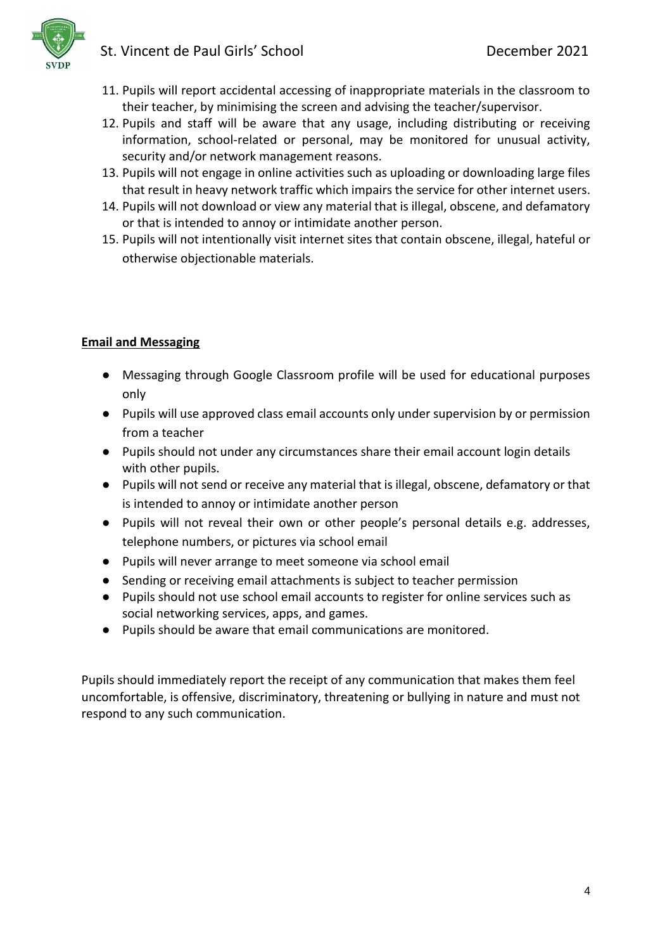

- 11. Pupils will report accidental accessing of inappropriate materials in the classroom to their teacher, by minimising the screen and advising the teacher/supervisor.
- 12. Pupils and staff will be aware that any usage, including distributing or receiving information, school-related or personal, may be monitored for unusual activity, security and/or network management reasons.
- 13. Pupils will not engage in online activities such as uploading or downloading large files that result in heavy network traffic which impairs the service for other internet users.
- 14. Pupils will not download or view any material that is illegal, obscene, and defamatory or that is intended to annoy or intimidate another person.
- 15. Pupils will not intentionally visit internet sites that contain obscene, illegal, hateful or otherwise objectionable materials.

# **Email and Messaging**

- Messaging through Google Classroom profile will be used for educational purposes only
- Pupils will use approved class email accounts only under supervision by or permission from a teacher
- Pupils should not under any circumstances share their email account login details with other pupils.
- Pupils will not send or receive any material that is illegal, obscene, defamatory or that is intended to annoy or intimidate another person
- Pupils will not reveal their own or other people's personal details e.g. addresses, telephone numbers, or pictures via school email
- Pupils will never arrange to meet someone via school email
- Sending or receiving email attachments is subject to teacher permission
- Pupils should not use school email accounts to register for online services such as social networking services, apps, and games.
- Pupils should be aware that email communications are monitored.

Pupils should immediately report the receipt of any communication that makes them feel uncomfortable, is offensive, discriminatory, threatening or bullying in nature and must not respond to any such communication.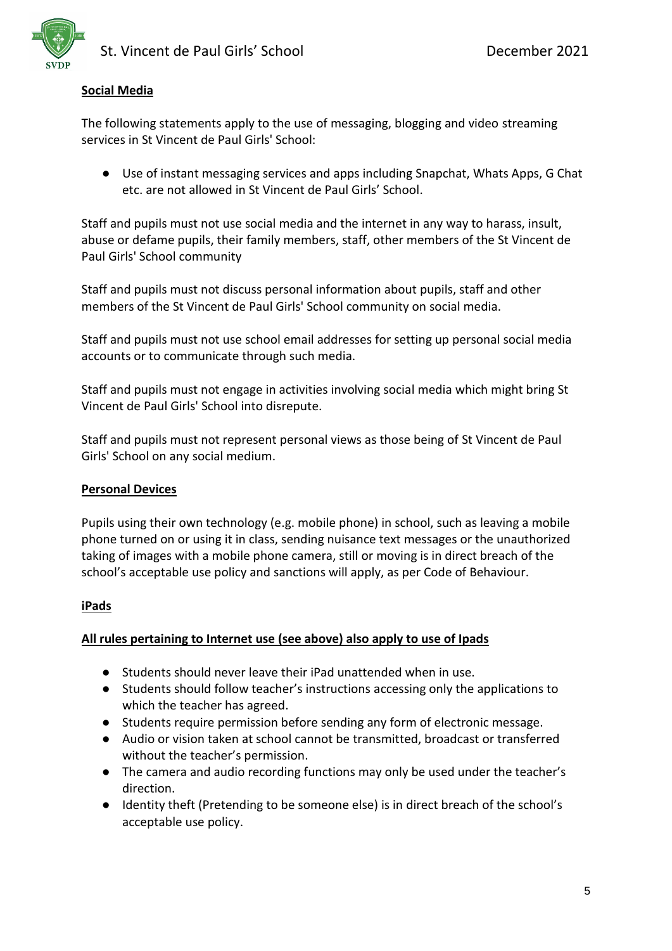#### **Social Media**

The following statements apply to the use of messaging, blogging and video streaming services in St Vincent de Paul Girls' School:

● Use of instant messaging services and apps including Snapchat, Whats Apps, G Chat etc. are not allowed in St Vincent de Paul Girls' School.

Staff and pupils must not use social media and the internet in any way to harass, insult, abuse or defame pupils, their family members, staff, other members of the St Vincent de Paul Girls' School community

Staff and pupils must not discuss personal information about pupils, staff and other members of the St Vincent de Paul Girls' School community on social media.

Staff and pupils must not use school email addresses for setting up personal social media accounts or to communicate through such media.

Staff and pupils must not engage in activities involving social media which might bring St Vincent de Paul Girls' School into disrepute.

Staff and pupils must not represent personal views as those being of St Vincent de Paul Girls' School on any social medium.

#### **Personal Devices**

Pupils using their own technology (e.g. mobile phone) in school, such as leaving a mobile phone turned on or using it in class, sending nuisance text messages or the unauthorized taking of images with a mobile phone camera, still or moving is in direct breach of the school's acceptable use policy and sanctions will apply, as per Code of Behaviour.

#### **iPads**

#### **All rules pertaining to Internet use (see above) also apply to use of Ipads**

- Students should never leave their iPad unattended when in use.
- Students should follow teacher's instructions accessing only the applications to which the teacher has agreed.
- Students require permission before sending any form of electronic message.
- Audio or vision taken at school cannot be transmitted, broadcast or transferred without the teacher's permission.
- The camera and audio recording functions may only be used under the teacher's direction.
- Identity theft (Pretending to be someone else) is in direct breach of the school's acceptable use policy.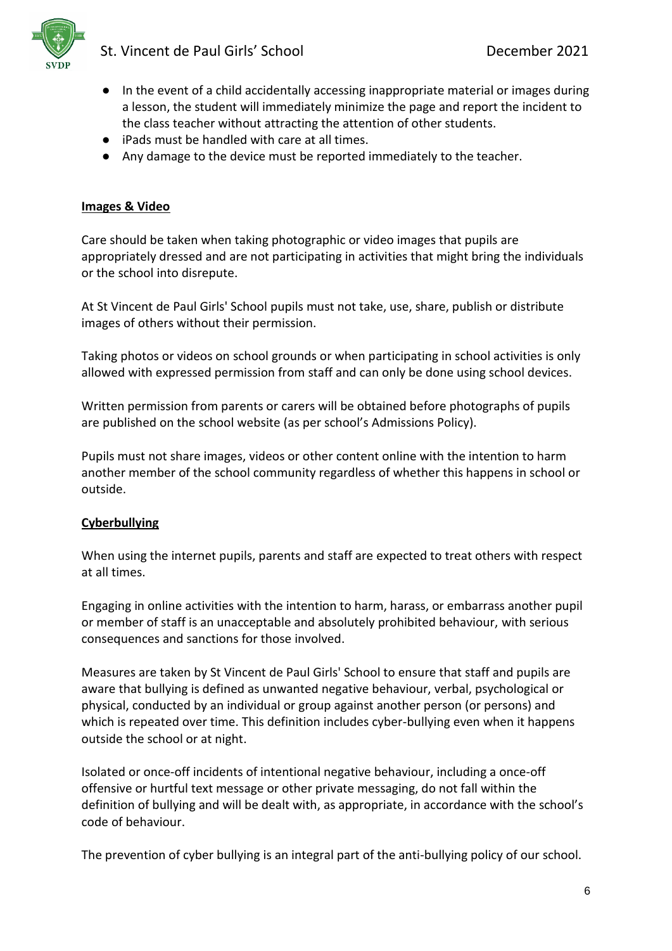

- In the event of a child accidentally accessing inappropriate material or images during a lesson, the student will immediately minimize the page and report the incident to the class teacher without attracting the attention of other students.
- iPads must be handled with care at all times.
- Any damage to the device must be reported immediately to the teacher.

#### **Images & Video**

Care should be taken when taking photographic or video images that pupils are appropriately dressed and are not participating in activities that might bring the individuals or the school into disrepute.

At St Vincent de Paul Girls' School pupils must not take, use, share, publish or distribute images of others without their permission.

Taking photos or videos on school grounds or when participating in school activities is only allowed with expressed permission from staff and can only be done using school devices.

Written permission from parents or carers will be obtained before photographs of pupils are published on the school website (as per school's Admissions Policy).

Pupils must not share images, videos or other content online with the intention to harm another member of the school community regardless of whether this happens in school or outside.

#### **Cyberbullying**

When using the internet pupils, parents and staff are expected to treat others with respect at all times.

Engaging in online activities with the intention to harm, harass, or embarrass another pupil or member of staff is an unacceptable and absolutely prohibited behaviour, with serious consequences and sanctions for those involved.

Measures are taken by St Vincent de Paul Girls' School to ensure that staff and pupils are aware that bullying is defined as unwanted negative behaviour, verbal, psychological or physical, conducted by an individual or group against another person (or persons) and which is repeated over time. This definition includes cyber-bullying even when it happens outside the school or at night.

Isolated or once-off incidents of intentional negative behaviour, including a once-off offensive or hurtful text message or other private messaging, do not fall within the definition of bullying and will be dealt with, as appropriate, in accordance with the school's code of behaviour.

The prevention of cyber bullying is an integral part of the anti-bullying policy of our school.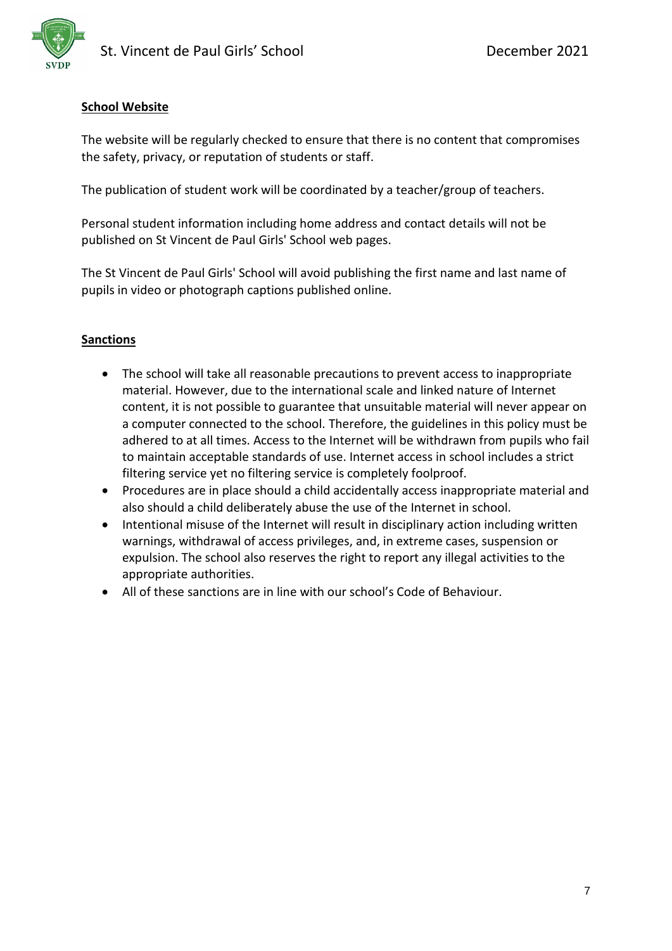# **School Website**

The website will be regularly checked to ensure that there is no content that compromises the safety, privacy, or reputation of students or staff.

The publication of student work will be coordinated by a teacher/group of teachers.

Personal student information including home address and contact details will not be published on St Vincent de Paul Girls' School web pages.

The St Vincent de Paul Girls' School will avoid publishing the first name and last name of pupils in video or photograph captions published online.

## **Sanctions**

- The school will take all reasonable precautions to prevent access to inappropriate material. However, due to the international scale and linked nature of Internet content, it is not possible to guarantee that unsuitable material will never appear on a computer connected to the school. Therefore, the guidelines in this policy must be adhered to at all times. Access to the Internet will be withdrawn from pupils who fail to maintain acceptable standards of use. Internet access in school includes a strict filtering service yet no filtering service is completely foolproof.
- Procedures are in place should a child accidentally access inappropriate material and also should a child deliberately abuse the use of the Internet in school.
- Intentional misuse of the Internet will result in disciplinary action including written warnings, withdrawal of access privileges, and, in extreme cases, suspension or expulsion. The school also reserves the right to report any illegal activities to the appropriate authorities.
- All of these sanctions are in line with our school's Code of Behaviour.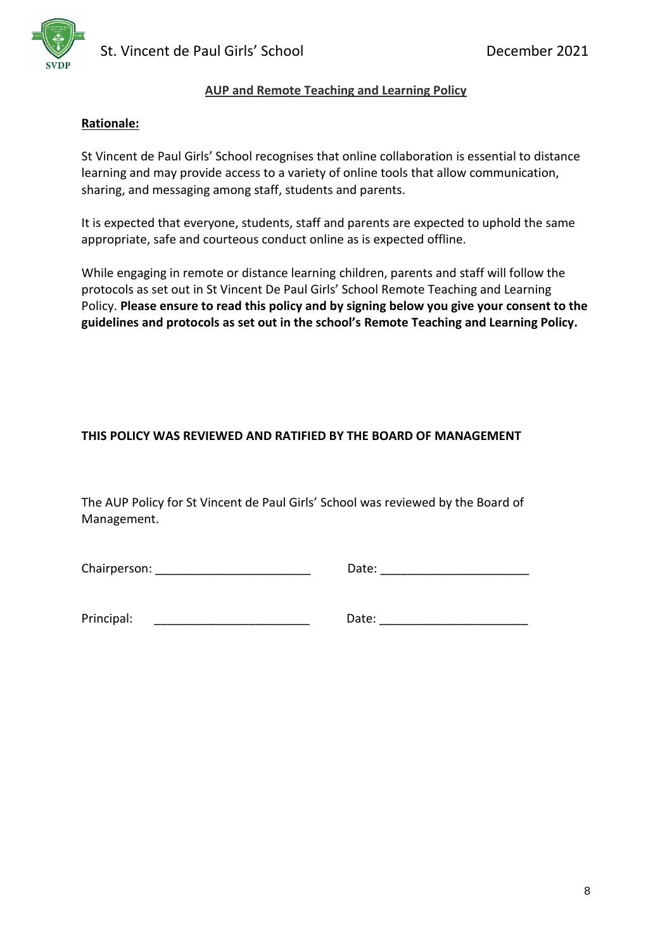



#### **AUP and Remote Teaching and Learning Policy**

#### **Rationale:**

St Vincent de Paul Girls' School recognises that online collaboration is essential to distance learning and may provide access to a variety of online tools that allow communication, sharing, and messaging among staff, students and parents.

It is expected that everyone, students, staff and parents are expected to uphold the same appropriate, safe and courteous conduct online as is expected offline.

While engaging in remote or distance learning children, parents and staff will follow the protocols as set out in St Vincent De Paul Girls' School Remote Teaching and Learning Policy. **Please ensure to read this policy and by signing below you give your consent to the guidelines and protocols as set out in the school's Remote Teaching and Learning Policy.** 

#### **THIS POLICY WAS REVIEWED AND RATIFIED BY THE BOARD OF MANAGEMENT**

The AUP Policy for St Vincent de Paul Girls' School was reviewed by the Board of Management.

Chairperson: example and the control of the Date:  $\Box$  Date:  $\Box$ 

Principal: The contract of the contract of the Date:  $\Box$  Date:  $\Box$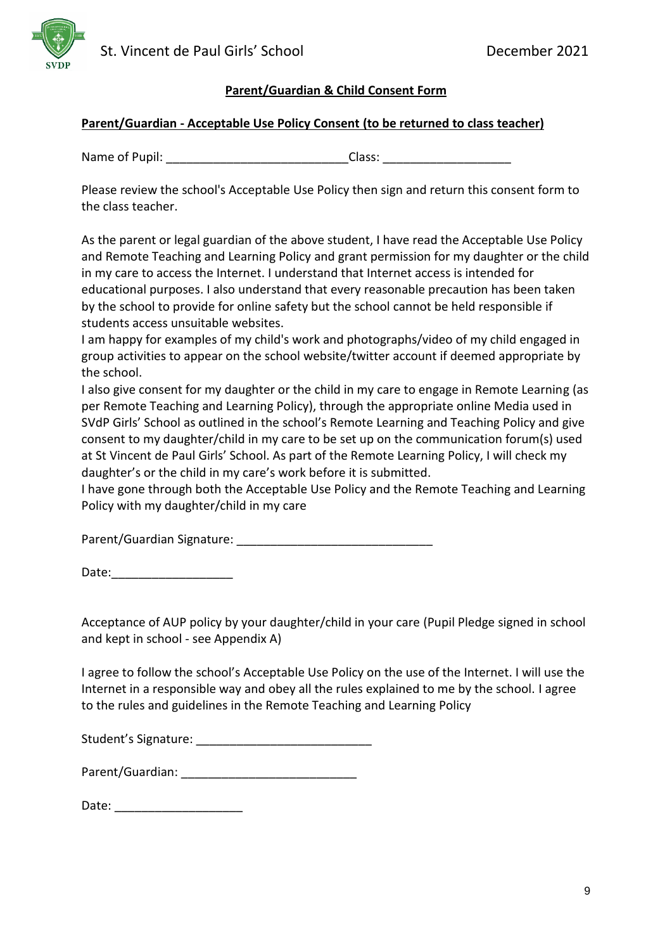

## **Parent/Guardian - Acceptable Use Policy Consent (to be returned to class teacher)**

Name of Pupil: The contract of  $\blacksquare$  and  $\blacksquare$  and  $\blacksquare$  and  $\blacksquare$  and  $\blacksquare$  and  $\blacksquare$  and  $\blacksquare$  and  $\blacksquare$  and  $\blacksquare$  and  $\blacksquare$  and  $\blacksquare$  and  $\blacksquare$  and  $\blacksquare$  and  $\blacksquare$  and  $\blacksquare$  and  $\blacksquare$  and  $\blacksquare$  and  $\blacks$ 

Please review the school's Acceptable Use Policy then sign and return this consent form to the class teacher.

As the parent or legal guardian of the above student, I have read the Acceptable Use Policy and Remote Teaching and Learning Policy and grant permission for my daughter or the child in my care to access the Internet. I understand that Internet access is intended for educational purposes. I also understand that every reasonable precaution has been taken by the school to provide for online safety but the school cannot be held responsible if students access unsuitable websites.

I am happy for examples of my child's work and photographs/video of my child engaged in group activities to appear on the school website/twitter account if deemed appropriate by the school.

I also give consent for my daughter or the child in my care to engage in Remote Learning (as per Remote Teaching and Learning Policy), through the appropriate online Media used in SVdP Girls' School as outlined in the school's Remote Learning and Teaching Policy and give consent to my daughter/child in my care to be set up on the communication forum(s) used at St Vincent de Paul Girls' School. As part of the Remote Learning Policy, I will check my daughter's or the child in my care's work before it is submitted.

I have gone through both the Acceptable Use Policy and the Remote Teaching and Learning Policy with my daughter/child in my care

Parent/Guardian Signature: \_\_\_\_\_\_\_\_\_\_\_\_\_\_\_\_\_\_\_\_\_\_\_\_\_\_\_\_\_

Date:

Acceptance of AUP policy by your daughter/child in your care (Pupil Pledge signed in school and kept in school - see Appendix A)

I agree to follow the school's Acceptable Use Policy on the use of the Internet. I will use the Internet in a responsible way and obey all the rules explained to me by the school. I agree to the rules and guidelines in the Remote Teaching and Learning Policy

Student's Signature: \_\_\_\_\_\_\_\_\_\_\_\_\_\_\_\_\_\_\_\_\_\_\_\_\_\_

Parent/Guardian: